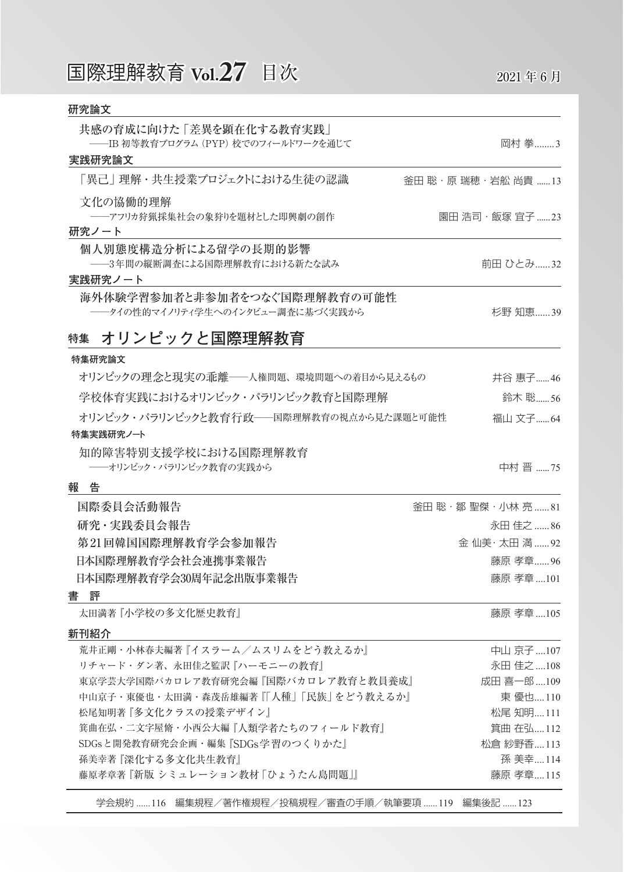| 研究論文                                                              |                       |
|-------------------------------------------------------------------|-----------------------|
| 共感の育成に向けた「差異を顕在化する教育実践」                                           |                       |
| ──IB 初等教育プログラム (PYP) 校でのフィールドワークを通じて<br>実践研究論文                    | 岡村 拳3                 |
| 「異己」 理解・共生授業プロジェクトにおける生徒の認識                                       | 釜田 聡・原 瑞穂・岩舩 尚貴 13    |
| 文化の協働的理解                                                          |                       |
| ――アフリカ狩猟採集社会の象狩りを題材とした即興劇の創作<br>研究ノート                             | 園田 浩司・飯塚 宜子 23        |
| 個人別態度構造分析による留学の長期的影響<br>――3年間の縦断調査による国際理解教育における新たな試み              | 前田 ひとみ32              |
| 実践研究ノート                                                           |                       |
| 海外体験学習参加者と非参加者をつなぐ国際理解教育の可能性<br>──タイの性的マイノリティ学生へのインタビュー調査に基づく実践から | 杉野 知恵39               |
| オリンピックと国際理解教育<br>特集                                               |                       |
| 特集研究論文                                                            |                       |
| オリンピックの理念と現実の乖離――人権問題、環境問題への着目から見えるもの                             | 井谷 惠子46               |
| 学校体育実践におけるオリンピック・パラリンピック教育と国際理解                                   | 鈴木 聡56                |
| オリンピック・パラリンピックと教育行政――国際理解教育の視点から見た課題と可能性                          | 福山 文子 64              |
| 特集実践研究ノート                                                         |                       |
| 知的障害特別支援学校における国際理解教育<br>――オリンピック・パラリンピック教育の実践から                   | 中村 晋 75               |
| 報告                                                                |                       |
| 国際委員会活動報告                                                         | 釜田 聡・鄒 聖傑・小林 亮 81     |
| 研究・実践委員会報告                                                        | 永田佳之 86               |
| 第21回韓国国際理解教育学会参加報告                                                | 金 仙美·太田 満  92         |
| 日本国際理解教育学会社会連携事業報告                                                | 藤原 孝章…… 96            |
| 日本国際理解教育学会30周年記念出版事業報告                                            | 藤原 孝章 101             |
| 書評                                                                |                       |
| 太田満著『小学校の多文化歴史教育』                                                 | 藤原 孝章 105             |
| 新刊紹介                                                              |                       |
| 荒井正剛・小林春夫編著『イスラーム/ムスリムをどう教えるか』                                    | 中山 京子……107            |
| リチャード・ダン著、永田佳之監訳『ハーモニーの教育』                                        | 永田 佳之 108             |
| 東京学芸大学国際バカロレア教育研究会編『国際バカロレア教育と教員養成』                               | 成田 喜一郎 109            |
| 中山京子・東優也・太田満・森茂岳雄編著『「人種」「民族」をどう教えるか』                              | 東 優也110               |
| 松尾知明著『多文化クラスの授業デザイン』                                              | 松尾 知明111              |
| 箕曲在弘・二文字屋脩・小西公大編『人類学者たちのフィールド教育』                                  | 箕曲 在弘112              |
| SDGsと開発教育研究会企画・編集 『SDGs 学習のつくりかた』                                 | 松倉 紗野香113             |
| 孫美幸著『深化する多文化共生教育』<br>藤原孝章著 『新版 シミュレーション教材 「ひょうたん島問題」』             | 孫 美幸114<br>藤原 孝章  115 |
|                                                                   |                       |

学会規約 ......116 編集規程/著作権規程/投稿規程/審査の手順/執筆要項 ......119 編集後記 ......123